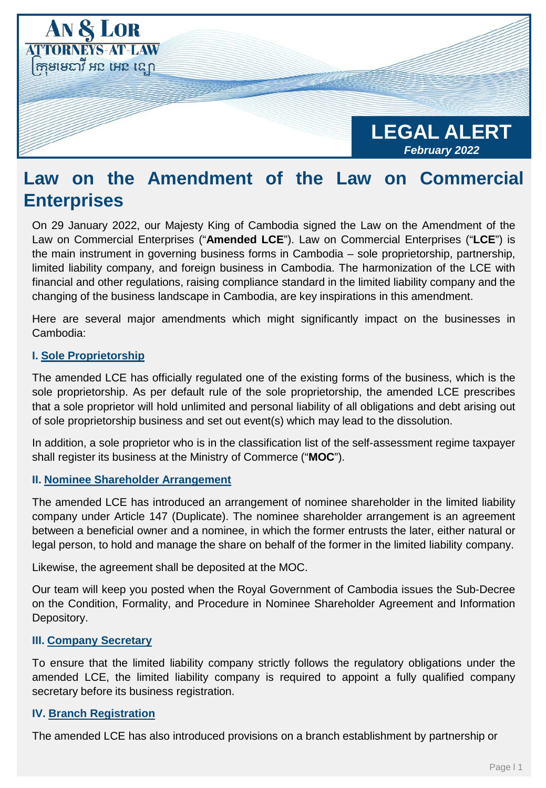

# **Law on the Amendment of the Law on Commercial Enterprises**

On 29 January 2022, our Majesty King of Cambodia signed the Law on the Amendment of the Law on Commercial Enterprises ("**Amended LCE**"). Law on Commercial Enterprises ("**LCE**") is the main instrument in governing business forms in Cambodia – sole proprietorship, partnership, limited liability company, and foreign business in Cambodia. The harmonization of the LCE with financial and other regulations, raising compliance standard in the limited liability company and the changing of the business landscape in Cambodia, are key inspirations in this amendment.

Here are several major amendments which might significantly impact on the businesses in Cambodia:

## **I. Sole Proprietorship**

The amended LCE has officially regulated one of the existing forms of the business, which is the sole proprietorship. As per default rule of the sole proprietorship, the amended LCE prescribes that a sole proprietor will hold unlimited and personal liability of all obligations and debt arising out of sole proprietorship business and set out event(s) which may lead to the dissolution.

In addition, a sole proprietor who is in the classification list of the self-assessment regime taxpayer shall register its business at the Ministry of Commerce ("**MOC**").

#### **II. Nominee Shareholder Arrangement**

The amended LCE has introduced an arrangement of nominee shareholder in the limited liability company under Article 147 (Duplicate). The nominee shareholder arrangement is an agreement between a beneficial owner and a nominee, in which the former entrusts the later, either natural or legal person, to hold and manage the share on behalf of the former in the limited liability company.

Likewise, the agreement shall be deposited at the MOC.

Our team will keep you posted when the Royal Government of Cambodia issues the Sub-Decree on the Condition, Formality, and Procedure in Nominee Shareholder Agreement and Information Depository.

#### **III. Company Secretary**

To ensure that the limited liability company strictly follows the regulatory obligations under the amended LCE, the limited liability company is required to appoint a fully qualified company secretary before its business registration.

### **IV. Branch Registration**

The amended LCE has also introduced provisions on a branch establishment by partnership or